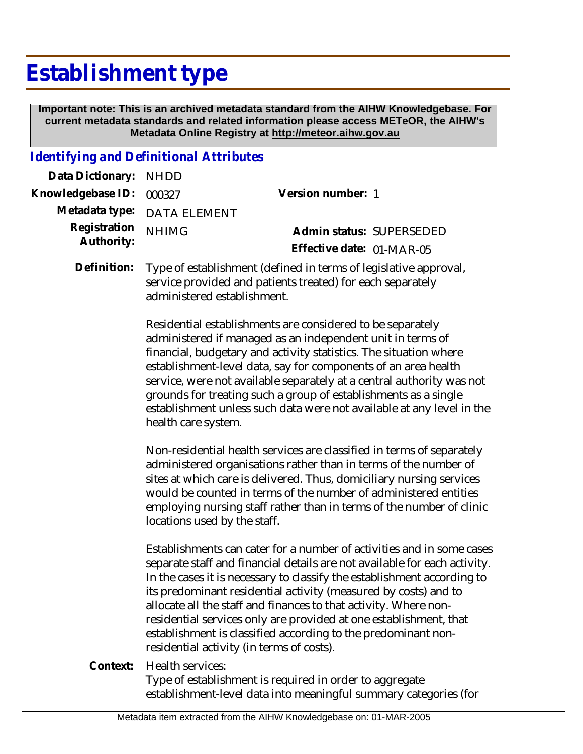# **Establishment type**

 **Important note: This is an archived metadata standard from the AIHW Knowledgebase. For current metadata standards and related information please access METeOR, the AIHW's Metadata Online Registry at http://meteor.aihw.gov.au**

### *Identifying and Definitional Attributes*

| Data Dictionary: NHDD                       |                             |                           |  |
|---------------------------------------------|-----------------------------|---------------------------|--|
| Knowledgebase ID: 000327                    |                             | Version number: 1         |  |
|                                             | Metadata type: DATA ELEMENT |                           |  |
| Registration <sub>NHIMG</sub><br>Authority: |                             | Admin status: SUPERSEDED  |  |
|                                             |                             | Effective date: 01-MAR-05 |  |
|                                             |                             |                           |  |

Type of establishment (defined in terms of legislative approval, service provided and patients treated) for each separately administered establishment. **Definition:**

> Residential establishments are considered to be separately administered if managed as an independent unit in terms of financial, budgetary and activity statistics. The situation where establishment-level data, say for components of an area health service, were not available separately at a central authority was not grounds for treating such a group of establishments as a single establishment unless such data were not available at any level in the health care system.

> Non-residential health services are classified in terms of separately administered organisations rather than in terms of the number of sites at which care is delivered. Thus, domiciliary nursing services would be counted in terms of the number of administered entities employing nursing staff rather than in terms of the number of clinic locations used by the staff.

Establishments can cater for a number of activities and in some cases separate staff and financial details are not available for each activity. In the cases it is necessary to classify the establishment according to its predominant residential activity (measured by costs) and to allocate all the staff and finances to that activity. Where nonresidential services only are provided at one establishment, that establishment is classified according to the predominant nonresidential activity (in terms of costs).

Health services: **Context:**

> Type of establishment is required in order to aggregate establishment-level data into meaningful summary categories (for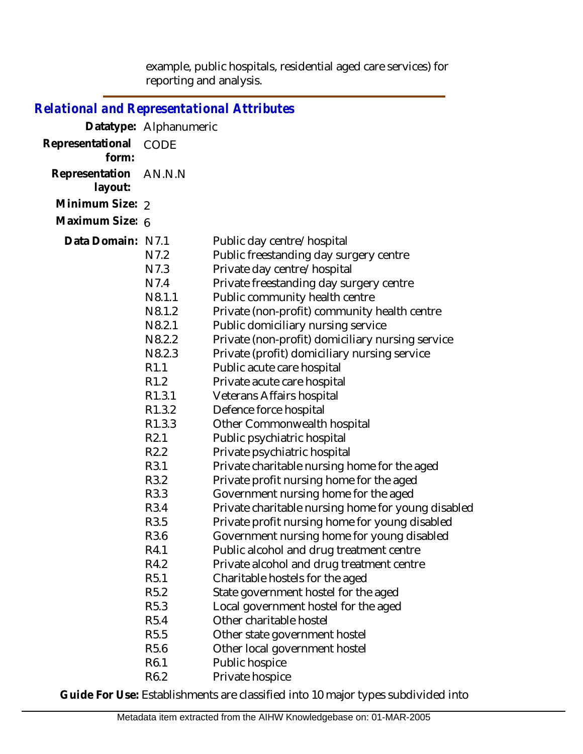example, public hospitals, residential aged care services) for reporting and analysis.

| Relational and Representational Attributes |                                                                                                                                                                                                                                                                                                                                                                                                                                                                                  |                                                                                                                                                                                                                                                                                                                                                                                                                                                                                                                                                                                                                                                                                                                                                                                                                                                                                                                                                                                                                                                                                                                                                                                                                                      |
|--------------------------------------------|----------------------------------------------------------------------------------------------------------------------------------------------------------------------------------------------------------------------------------------------------------------------------------------------------------------------------------------------------------------------------------------------------------------------------------------------------------------------------------|--------------------------------------------------------------------------------------------------------------------------------------------------------------------------------------------------------------------------------------------------------------------------------------------------------------------------------------------------------------------------------------------------------------------------------------------------------------------------------------------------------------------------------------------------------------------------------------------------------------------------------------------------------------------------------------------------------------------------------------------------------------------------------------------------------------------------------------------------------------------------------------------------------------------------------------------------------------------------------------------------------------------------------------------------------------------------------------------------------------------------------------------------------------------------------------------------------------------------------------|
|                                            | Datatype: Alphanumeric                                                                                                                                                                                                                                                                                                                                                                                                                                                           |                                                                                                                                                                                                                                                                                                                                                                                                                                                                                                                                                                                                                                                                                                                                                                                                                                                                                                                                                                                                                                                                                                                                                                                                                                      |
| Representational<br>form:                  | <b>CODE</b>                                                                                                                                                                                                                                                                                                                                                                                                                                                                      |                                                                                                                                                                                                                                                                                                                                                                                                                                                                                                                                                                                                                                                                                                                                                                                                                                                                                                                                                                                                                                                                                                                                                                                                                                      |
| Representation<br>layout:                  | AN.N.N                                                                                                                                                                                                                                                                                                                                                                                                                                                                           |                                                                                                                                                                                                                                                                                                                                                                                                                                                                                                                                                                                                                                                                                                                                                                                                                                                                                                                                                                                                                                                                                                                                                                                                                                      |
| Minimum Size: 2                            |                                                                                                                                                                                                                                                                                                                                                                                                                                                                                  |                                                                                                                                                                                                                                                                                                                                                                                                                                                                                                                                                                                                                                                                                                                                                                                                                                                                                                                                                                                                                                                                                                                                                                                                                                      |
| Maximum Size: 6                            |                                                                                                                                                                                                                                                                                                                                                                                                                                                                                  |                                                                                                                                                                                                                                                                                                                                                                                                                                                                                                                                                                                                                                                                                                                                                                                                                                                                                                                                                                                                                                                                                                                                                                                                                                      |
| Data Domain: N7.1                          | N7.2<br>N7.3<br>N7.4<br>N <sub>8.1.1</sub><br>N8.1.2<br>N8.2.1<br>N8.2.2<br>N <sub>8.2.3</sub><br>R <sub>1.1</sub><br>R <sub>1.2</sub><br>R <sub>1.3.1</sub><br>R <sub>1.3.2</sub><br>R <sub>1.3.3</sub><br>R <sub>2.1</sub><br>R <sub>2.2</sub><br>R3.1<br>R3.2<br>R3.3<br>R3.4<br>R3.5<br>R3.6<br>R4.1<br>R4.2<br>R <sub>5.1</sub><br>R <sub>5.2</sub><br>R <sub>5.3</sub><br>R <sub>5.4</sub><br>R <sub>5.5</sub><br>R <sub>5.6</sub><br>R <sub>6.1</sub><br>R <sub>6.2</sub> | Public day centre/hospital<br>Public freestanding day surgery centre<br>Private day centre/hospital<br>Private freestanding day surgery centre<br>Public community health centre<br>Private (non-profit) community health centre<br>Public domiciliary nursing service<br>Private (non-profit) domiciliary nursing service<br>Private (profit) domiciliary nursing service<br>Public acute care hospital<br>Private acute care hospital<br>Veterans Affairs hospital<br>Defence force hospital<br>Other Commonwealth hospital<br>Public psychiatric hospital<br>Private psychiatric hospital<br>Private charitable nursing home for the aged<br>Private profit nursing home for the aged<br>Government nursing home for the aged<br>Private charitable nursing home for young disabled<br>Private profit nursing home for young disabled<br>Government nursing home for young disabled<br>Public alcohol and drug treatment centre<br>Private alcohol and drug treatment centre<br>Charitable hostels for the aged<br>State government hostel for the aged<br>Local government hostel for the aged<br>Other charitable hostel<br>Other state government hostel<br>Other local government hostel<br>Public hospice<br>Private hospice |

**Guide For Use:** Establishments are classified into 10 major types subdivided into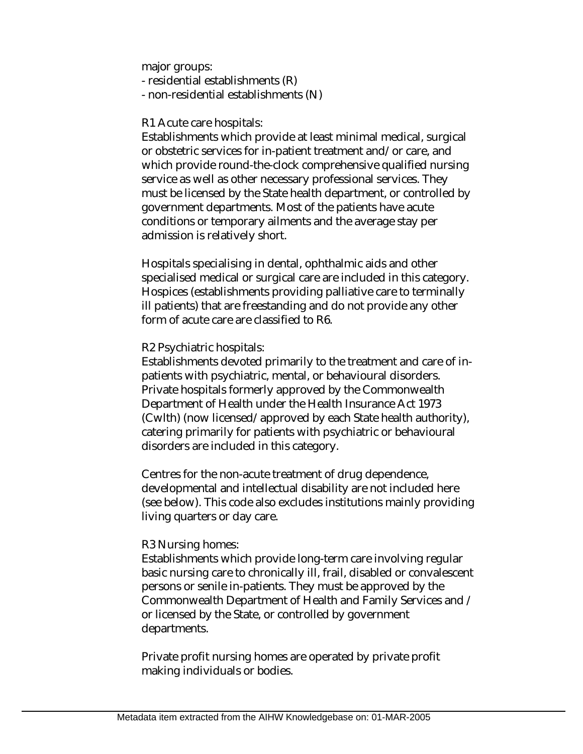major groups:

- residential establishments (R)
- non-residential establishments (N)

#### R1 Acute care hospitals:

Establishments which provide at least minimal medical, surgical or obstetric services for in-patient treatment and/or care, and which provide round-the-clock comprehensive qualified nursing service as well as other necessary professional services. They must be licensed by the State health department, or controlled by government departments. Most of the patients have acute conditions or temporary ailments and the average stay per admission is relatively short.

Hospitals specialising in dental, ophthalmic aids and other specialised medical or surgical care are included in this category. Hospices (establishments providing palliative care to terminally ill patients) that are freestanding and do not provide any other form of acute care are classified to R6.

#### R2 Psychiatric hospitals:

Establishments devoted primarily to the treatment and care of inpatients with psychiatric, mental, or behavioural disorders. Private hospitals formerly approved by the Commonwealth Department of Health under the Health Insurance Act 1973 (Cwlth) (now licensed/approved by each State health authority), catering primarily for patients with psychiatric or behavioural disorders are included in this category.

Centres for the non-acute treatment of drug dependence, developmental and intellectual disability are not included here (see below). This code also excludes institutions mainly providing living quarters or day care.

#### R3 Nursing homes:

Establishments which provide long-term care involving regular basic nursing care to chronically ill, frail, disabled or convalescent persons or senile in-patients. They must be approved by the Commonwealth Department of Health and Family Services and / or licensed by the State, or controlled by government departments.

Private profit nursing homes are operated by private profit making individuals or bodies.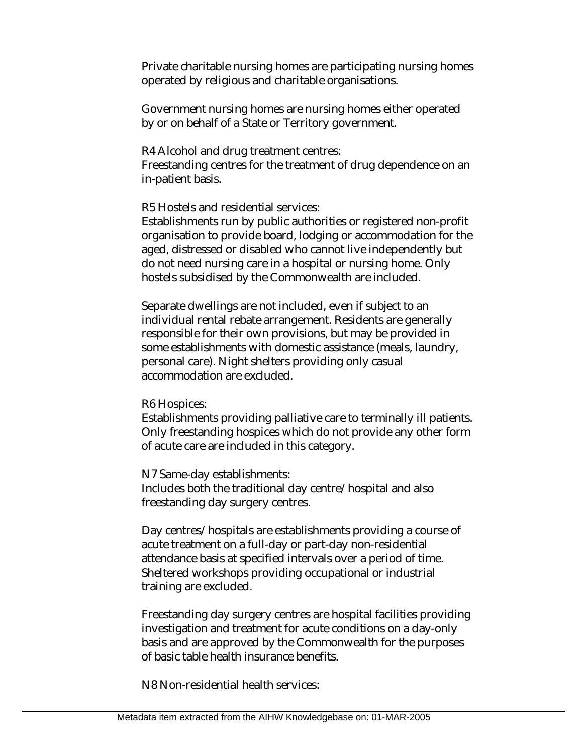Private charitable nursing homes are participating nursing homes operated by religious and charitable organisations.

Government nursing homes are nursing homes either operated by or on behalf of a State or Territory government.

R4 Alcohol and drug treatment centres:

Freestanding centres for the treatment of drug dependence on an in-patient basis.

R5 Hostels and residential services:

Establishments run by public authorities or registered non-profit organisation to provide board, lodging or accommodation for the aged, distressed or disabled who cannot live independently but do not need nursing care in a hospital or nursing home. Only hostels subsidised by the Commonwealth are included.

Separate dwellings are not included, even if subject to an individual rental rebate arrangement. Residents are generally responsible for their own provisions, but may be provided in some establishments with domestic assistance (meals, laundry, personal care). Night shelters providing only casual accommodation are excluded.

R6 Hospices:

Establishments providing palliative care to terminally ill patients. Only freestanding hospices which do not provide any other form of acute care are included in this category.

N7 Same-day establishments: Includes both the traditional day centre/hospital and also freestanding day surgery centres.

Day centres/hospitals are establishments providing a course of acute treatment on a full-day or part-day non-residential attendance basis at specified intervals over a period of time. Sheltered workshops providing occupational or industrial training are excluded.

Freestanding day surgery centres are hospital facilities providing investigation and treatment for acute conditions on a day-only basis and are approved by the Commonwealth for the purposes of basic table health insurance benefits.

N8 Non-residential health services: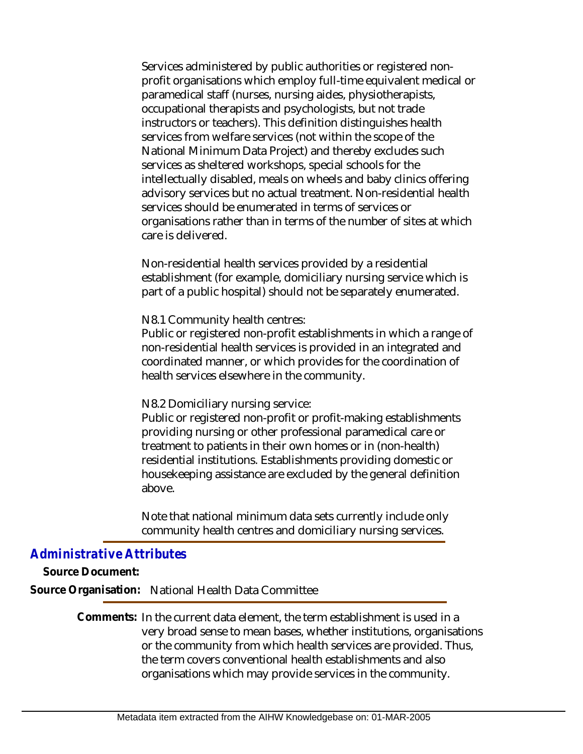Services administered by public authorities or registered nonprofit organisations which employ full-time equivalent medical or paramedical staff (nurses, nursing aides, physiotherapists, occupational therapists and psychologists, but not trade instructors or teachers). This definition distinguishes health services from welfare services (not within the scope of the National Minimum Data Project) and thereby excludes such services as sheltered workshops, special schools for the intellectually disabled, meals on wheels and baby clinics offering advisory services but no actual treatment. Non-residential health services should be enumerated in terms of services or organisations rather than in terms of the number of sites at which care is delivered.

Non-residential health services provided by a residential establishment (for example, domiciliary nursing service which is part of a public hospital) should not be separately enumerated.

N8.1 Community health centres:

Public or registered non-profit establishments in which a range of non-residential health services is provided in an integrated and coordinated manner, or which provides for the coordination of health services elsewhere in the community.

N8.2 Domiciliary nursing service:

Public or registered non-profit or profit-making establishments providing nursing or other professional paramedical care or treatment to patients in their own homes or in (non-health) residential institutions. Establishments providing domestic or housekeeping assistance are excluded by the general definition above.

Note that national minimum data sets currently include only community health centres and domiciliary nursing services.

## *Administrative Attributes*

**Source Document:**

**Source Organisation:** National Health Data Committee

Comments: In the current data element, the term establishment is used in a very broad sense to mean bases, whether institutions, organisations or the community from which health services are provided. Thus, the term covers conventional health establishments and also organisations which may provide services in the community.